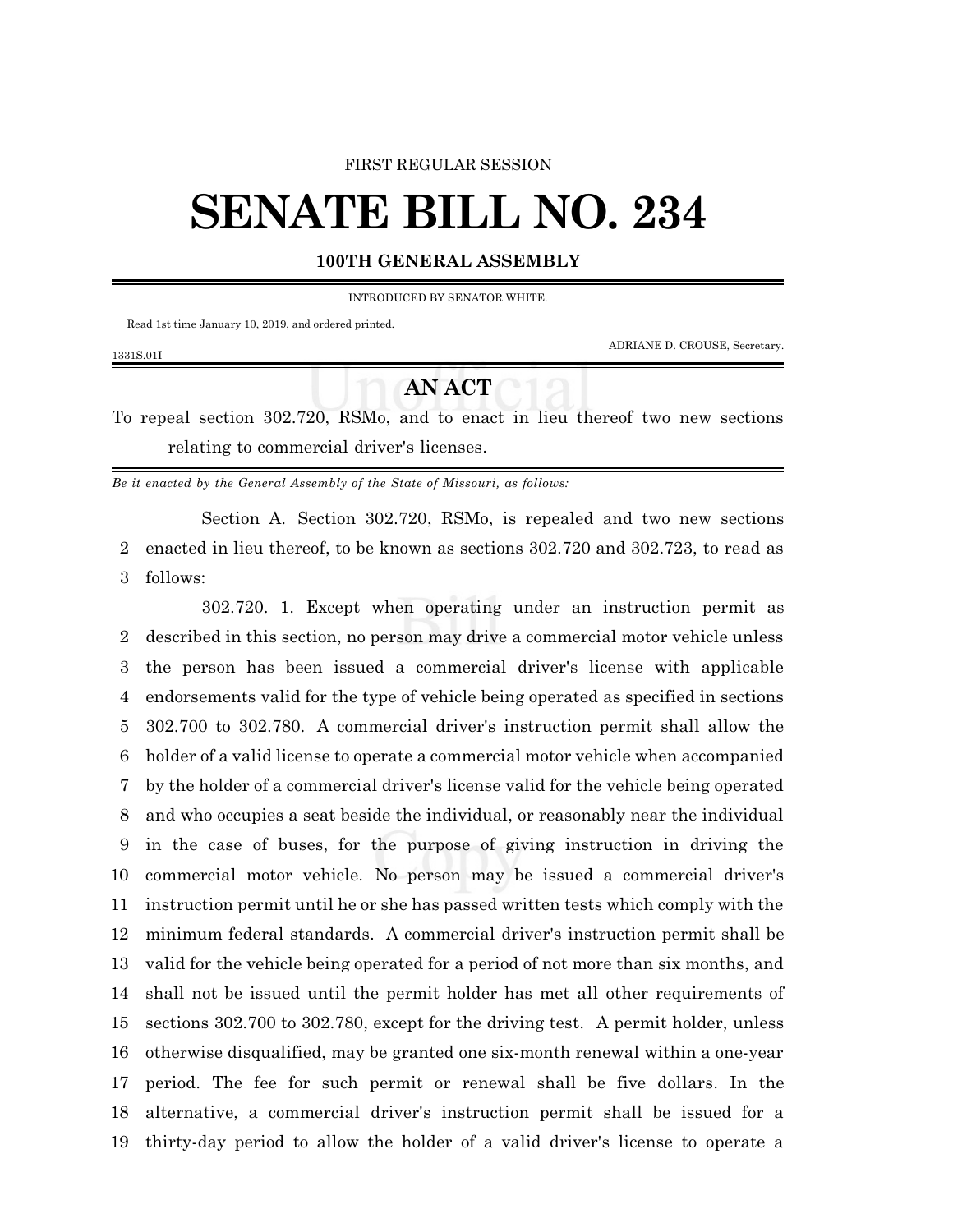#### FIRST REGULAR SESSION

# **SENATE BILL NO. 234**

#### **100TH GENERAL ASSEMBLY**

INTRODUCED BY SENATOR WHITE.

Read 1st time January 10, 2019, and ordered printed.

ADRIANE D. CROUSE, Secretary.

### 1331S.01I

## **AN ACT**

To repeal section 302.720, RSMo, and to enact in lieu thereof two new sections relating to commercial driver's licenses.

*Be it enacted by the General Assembly of the State of Missouri, as follows:*

Section A. Section 302.720, RSMo, is repealed and two new sections enacted in lieu thereof, to be known as sections 302.720 and 302.723, to read as follows:

302.720. 1. Except when operating under an instruction permit as described in this section, no person may drive a commercial motor vehicle unless the person has been issued a commercial driver's license with applicable endorsements valid for the type of vehicle being operated as specified in sections 302.700 to 302.780. A commercial driver's instruction permit shall allow the holder of a valid license to operate a commercial motor vehicle when accompanied by the holder of a commercial driver's license valid for the vehicle being operated and who occupies a seat beside the individual, or reasonably near the individual in the case of buses, for the purpose of giving instruction in driving the commercial motor vehicle. No person may be issued a commercial driver's instruction permit until he or she has passed written tests which comply with the minimum federal standards. A commercial driver's instruction permit shall be valid for the vehicle being operated for a period of not more than six months, and shall not be issued until the permit holder has met all other requirements of sections 302.700 to 302.780, except for the driving test. A permit holder, unless otherwise disqualified, may be granted one six-month renewal within a one-year period. The fee for such permit or renewal shall be five dollars. In the alternative, a commercial driver's instruction permit shall be issued for a thirty-day period to allow the holder of a valid driver's license to operate a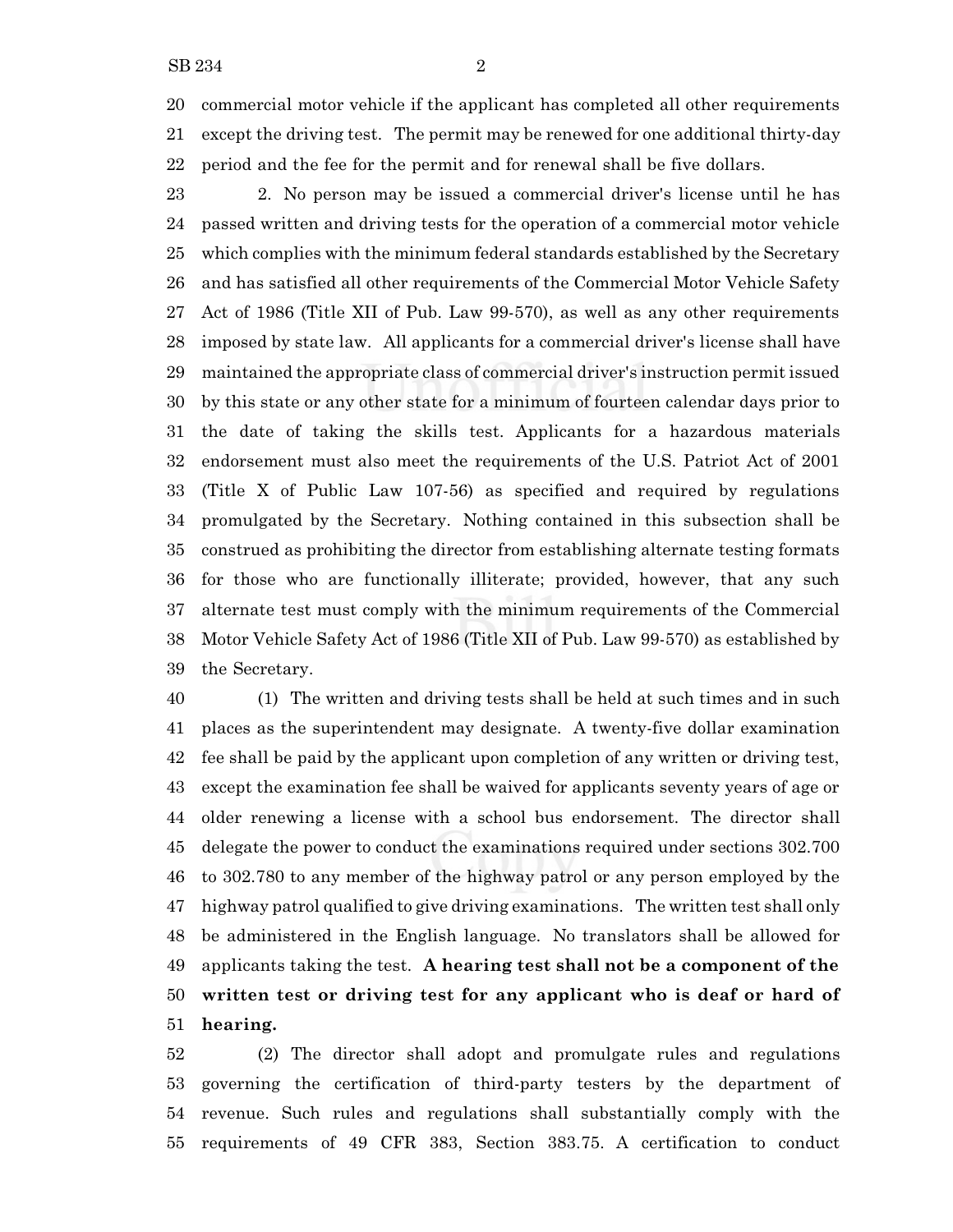commercial motor vehicle if the applicant has completed all other requirements except the driving test. The permit may be renewed for one additional thirty-day period and the fee for the permit and for renewal shall be five dollars.

 2. No person may be issued a commercial driver's license until he has passed written and driving tests for the operation of a commercial motor vehicle which complies with the minimum federal standards established by the Secretary and has satisfied all other requirements of the Commercial Motor Vehicle Safety Act of 1986 (Title XII of Pub. Law 99-570), as well as any other requirements imposed by state law. All applicants for a commercial driver's license shall have maintained the appropriate class of commercial driver's instruction permit issued by this state or any other state for a minimum of fourteen calendar days prior to the date of taking the skills test. Applicants for a hazardous materials endorsement must also meet the requirements of the U.S. Patriot Act of 2001 (Title X of Public Law 107-56) as specified and required by regulations promulgated by the Secretary. Nothing contained in this subsection shall be construed as prohibiting the director from establishing alternate testing formats for those who are functionally illiterate; provided, however, that any such alternate test must comply with the minimum requirements of the Commercial Motor Vehicle Safety Act of 1986 (Title XII of Pub. Law 99-570) as established by the Secretary.

 (1) The written and driving tests shall be held at such times and in such places as the superintendent may designate. A twenty-five dollar examination fee shall be paid by the applicant upon completion of any written or driving test, except the examination fee shall be waived for applicants seventy years of age or older renewing a license with a school bus endorsement. The director shall delegate the power to conduct the examinations required under sections 302.700 to 302.780 to any member of the highway patrol or any person employed by the highway patrol qualified to give driving examinations. The written test shall only be administered in the English language. No translators shall be allowed for applicants taking the test. **A hearing test shall not be a component of the written test or driving test for any applicant who is deaf or hard of hearing.**

 (2) The director shall adopt and promulgate rules and regulations governing the certification of third-party testers by the department of revenue. Such rules and regulations shall substantially comply with the requirements of 49 CFR 383, Section 383.75. A certification to conduct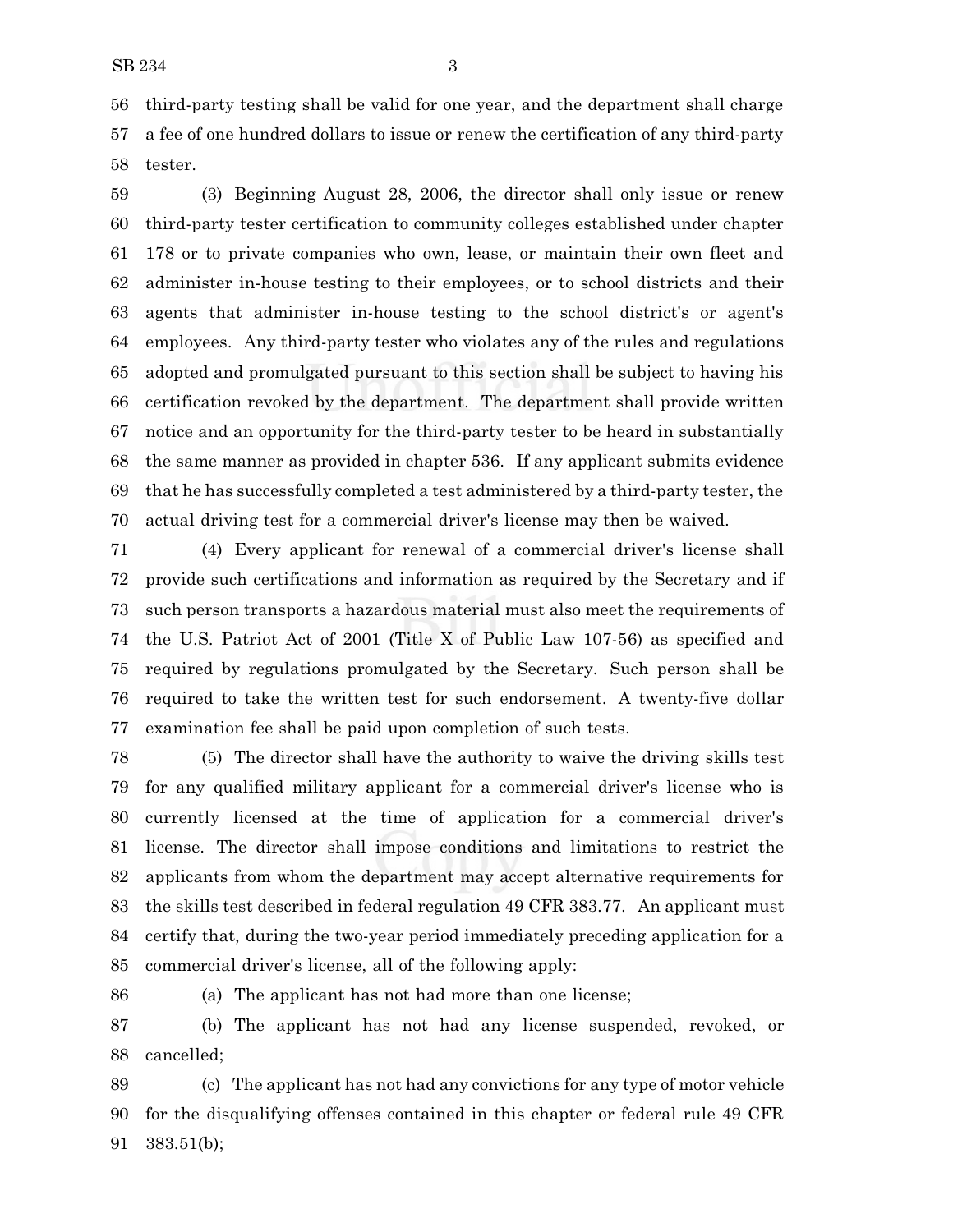third-party testing shall be valid for one year, and the department shall charge a fee of one hundred dollars to issue or renew the certification of any third-party tester.

 (3) Beginning August 28, 2006, the director shall only issue or renew third-party tester certification to community colleges established under chapter 178 or to private companies who own, lease, or maintain their own fleet and administer in-house testing to their employees, or to school districts and their agents that administer in-house testing to the school district's or agent's employees. Any third-party tester who violates any of the rules and regulations adopted and promulgated pursuant to this section shall be subject to having his certification revoked by the department. The department shall provide written notice and an opportunity for the third-party tester to be heard in substantially the same manner as provided in chapter 536. If any applicant submits evidence that he has successfully completed a test administered by a third-party tester, the actual driving test for a commercial driver's license may then be waived.

 (4) Every applicant for renewal of a commercial driver's license shall provide such certifications and information as required by the Secretary and if such person transports a hazardous material must also meet the requirements of the U.S. Patriot Act of 2001 (Title X of Public Law 107-56) as specified and required by regulations promulgated by the Secretary. Such person shall be required to take the written test for such endorsement. A twenty-five dollar examination fee shall be paid upon completion of such tests.

 (5) The director shall have the authority to waive the driving skills test for any qualified military applicant for a commercial driver's license who is currently licensed at the time of application for a commercial driver's license. The director shall impose conditions and limitations to restrict the applicants from whom the department may accept alternative requirements for the skills test described in federal regulation 49 CFR 383.77. An applicant must certify that, during the two-year period immediately preceding application for a commercial driver's license, all of the following apply:

(a) The applicant has not had more than one license;

 (b) The applicant has not had any license suspended, revoked, or cancelled;

 (c) The applicant has not had any convictions for any type of motor vehicle for the disqualifying offenses contained in this chapter or federal rule 49 CFR 383.51(b);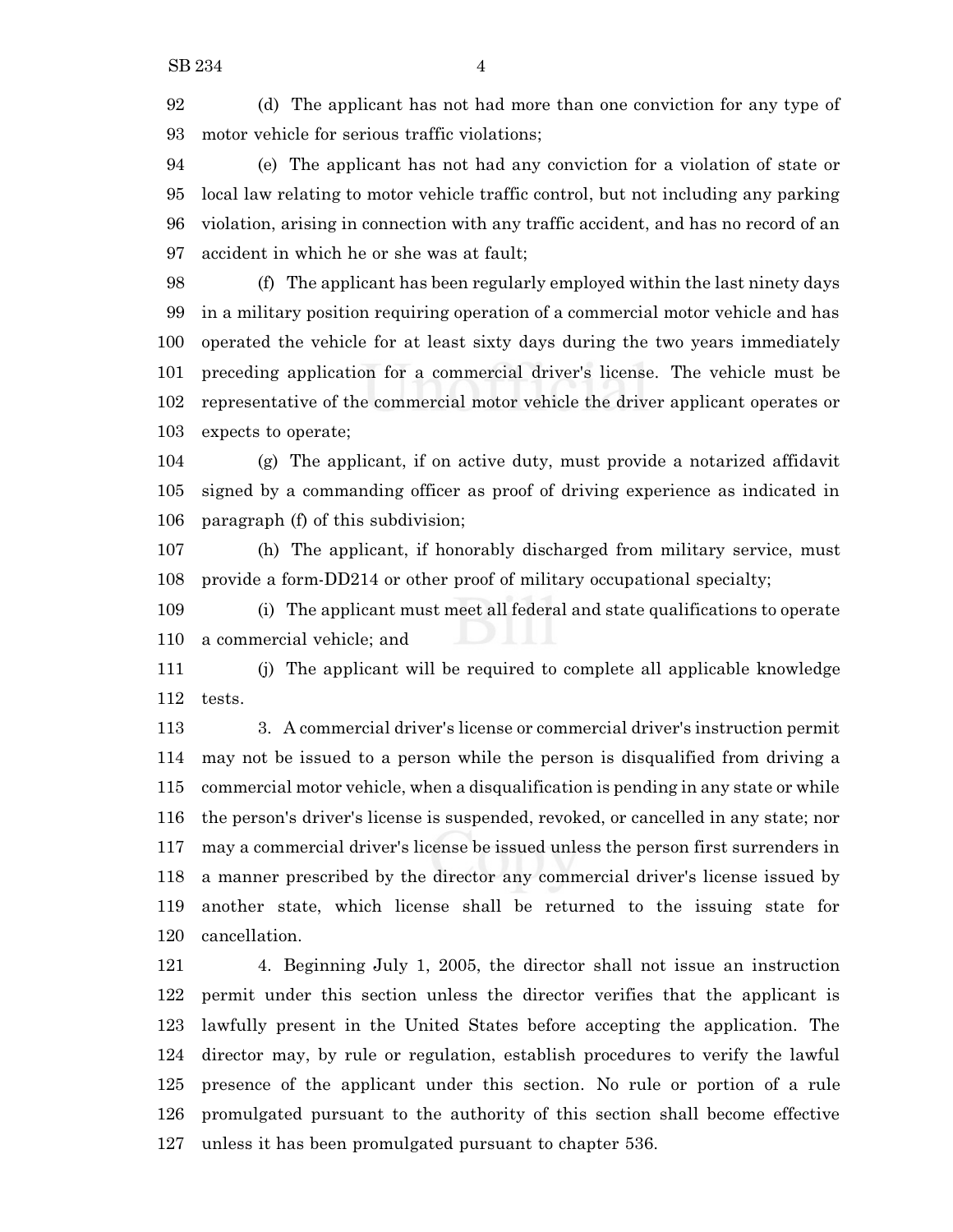(d) The applicant has not had more than one conviction for any type of motor vehicle for serious traffic violations;

 (e) The applicant has not had any conviction for a violation of state or local law relating to motor vehicle traffic control, but not including any parking violation, arising in connection with any traffic accident, and has no record of an accident in which he or she was at fault;

 (f) The applicant has been regularly employed within the last ninety days in a military position requiring operation of a commercial motor vehicle and has operated the vehicle for at least sixty days during the two years immediately preceding application for a commercial driver's license. The vehicle must be representative of the commercial motor vehicle the driver applicant operates or expects to operate;

 (g) The applicant, if on active duty, must provide a notarized affidavit signed by a commanding officer as proof of driving experience as indicated in paragraph (f) of this subdivision;

 (h) The applicant, if honorably discharged from military service, must provide a form-DD214 or other proof of military occupational specialty;

 (i) The applicant must meet all federal and state qualifications to operate a commercial vehicle; and

 (j) The applicant will be required to complete all applicable knowledge tests.

 3. A commercial driver's license or commercial driver's instruction permit may not be issued to a person while the person is disqualified from driving a commercial motor vehicle, when a disqualification is pending in any state or while the person's driver's license is suspended, revoked, or cancelled in any state; nor may a commercial driver's license be issued unless the person first surrenders in a manner prescribed by the director any commercial driver's license issued by another state, which license shall be returned to the issuing state for cancellation.

 4. Beginning July 1, 2005, the director shall not issue an instruction permit under this section unless the director verifies that the applicant is lawfully present in the United States before accepting the application. The director may, by rule or regulation, establish procedures to verify the lawful presence of the applicant under this section. No rule or portion of a rule promulgated pursuant to the authority of this section shall become effective unless it has been promulgated pursuant to chapter 536.